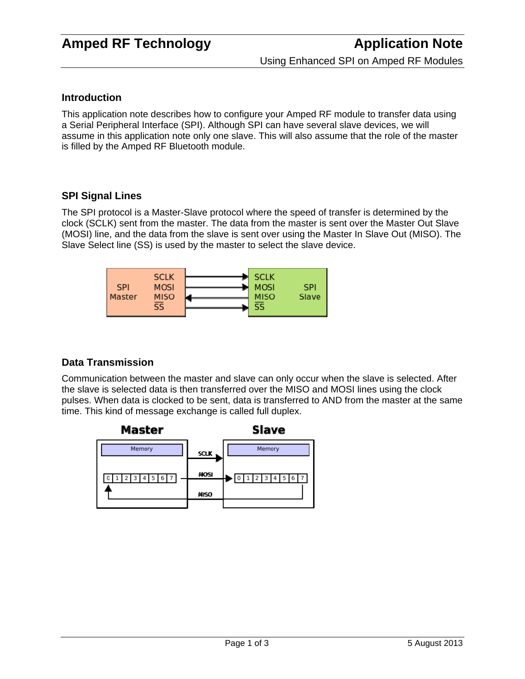### **Introduction**

This application note describes how to configure your Amped RF module to transfer data using a Serial Peripheral Interface (SPI). Although SPI can have several slave devices, we will assume in this application note only one slave. This will also assume that the role of the master is filled by the Amped RF Bluetooth module.

### **SPI Signal Lines**

The SPI protocol is a Master-Slave protocol where the speed of transfer is determined by the clock (SCLK) sent from the master. The data from the master is sent over the Master Out Slave (MOSI) line, and the data from the slave is sent over using the Master In Slave Out (MISO). The Slave Select line (SS) is used by the master to select the slave device.



## **Data Transmission**

Communication between the master and slave can only occur when the slave is selected. After the slave is selected data is then transferred over the MISO and MOSI lines using the clock pulses. When data is clocked to be sent, data is transferred to AND from the master at the same time. This kind of message exchange is called full duplex.

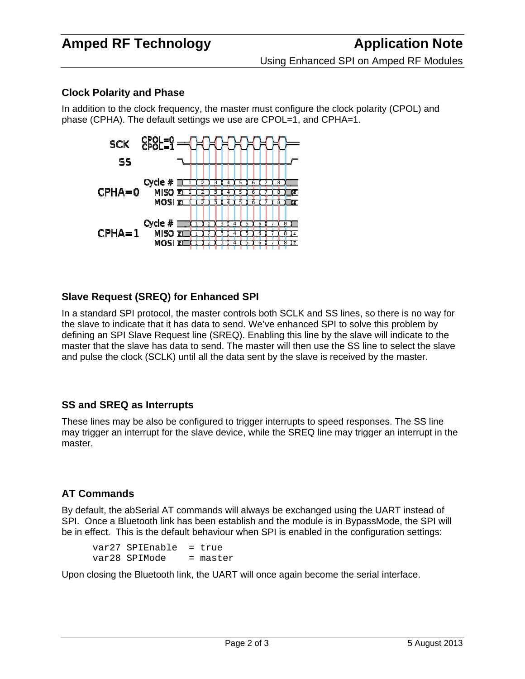## **Clock Polarity and Phase**

In addition to the clock frequency, the master must configure the clock polarity (CPOL) and phase (CPHA). The default settings we use are CPOL=1, and CPHA=1.



## **Slave Request (SREQ) for Enhanced SPI**

In a standard SPI protocol, the master controls both SCLK and SS lines, so there is no way for the slave to indicate that it has data to send. We've enhanced SPI to solve this problem by defining an SPI Slave Request line (SREQ). Enabling this line by the slave will indicate to the master that the slave has data to send. The master will then use the SS line to select the slave and pulse the clock (SCLK) until all the data sent by the slave is received by the master.

### **SS and SREQ as Interrupts**

These lines may be also be configured to trigger interrupts to speed responses. The SS line may trigger an interrupt for the slave device, while the SREQ line may trigger an interrupt in the master.

## **AT Commands**

By default, the abSerial AT commands will always be exchanged using the UART instead of SPI. Once a Bluetooth link has been establish and the module is in BypassMode, the SPI will be in effect. This is the default behaviour when SPI is enabled in the configuration settings:

var27 SPIEnable = true var28 SPIMode = master

Upon closing the Bluetooth link, the UART will once again become the serial interface.